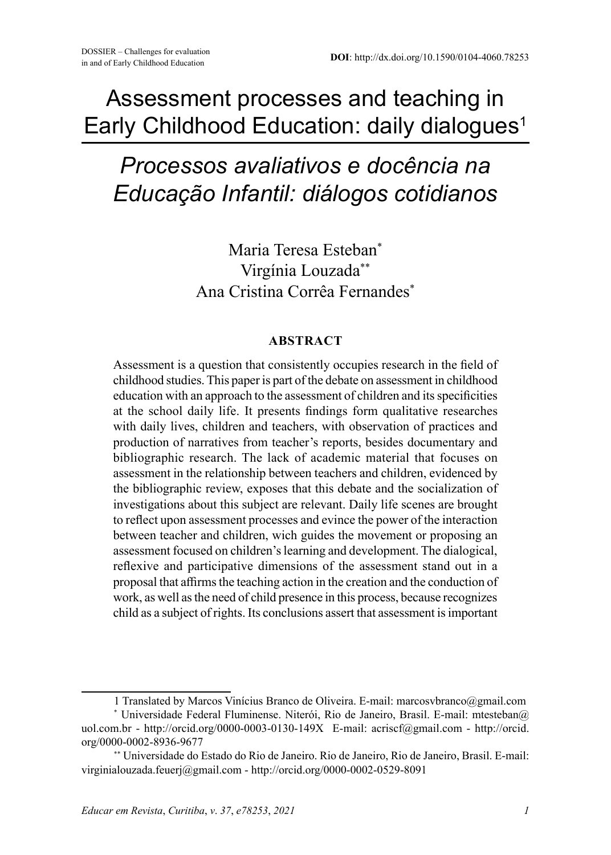## Assessment processes and teaching in Early Childhood Education: daily dialogues<sup>1</sup>

# *Processos avaliativos e docência na Educação Infantil: diálogos cotidianos*

Maria Teresa Esteban\* Virgínia Louzada\*\* Ana Cristina Corrêa Fernandes\*

#### **ABSTRACT**

Assessment is a question that consistently occupies research in the field of childhood studies. This paper is part of the debate on assessment in childhood education with an approach to the assessment of children and its specificities at the school daily life. It presents findings form qualitative researches with daily lives, children and teachers, with observation of practices and production of narratives from teacher's reports, besides documentary and bibliographic research. The lack of academic material that focuses on assessment in the relationship between teachers and children, evidenced by the bibliographic review, exposes that this debate and the socialization of investigations about this subject are relevant. Daily life scenes are brought to reflect upon assessment processes and evince the power of the interaction between teacher and children, wich guides the movement or proposing an assessment focused on children's learning and development. The dialogical, reflexive and participative dimensions of the assessment stand out in a proposal that affirms the teaching action in the creation and the conduction of work, as well as the need of child presence in this process, because recognizes child as a subject of rights. Its conclusions assert that assessment is important

<sup>1</sup> Translated by Marcos Vinícius Branco de Oliveira. E-mail: marcosvbranco@gmail.com

<sup>\*</sup> Universidade Federal Fluminense. Niterói, Rio de Janeiro, Brasil. E-mail: mtesteban@ uol.com.br - http://orcid.org/0000-0003-0130-149X E-mail: acriscf@gmail.com - http://orcid. org/0000-0002-8936-9677

<sup>\*\*</sup> Universidade do Estado do Rio de Janeiro. Rio de Janeiro, Rio de Janeiro, Brasil. E-mail: virginialouzada.feuerj@gmail.com - http://orcid.org/0000-0002-0529-8091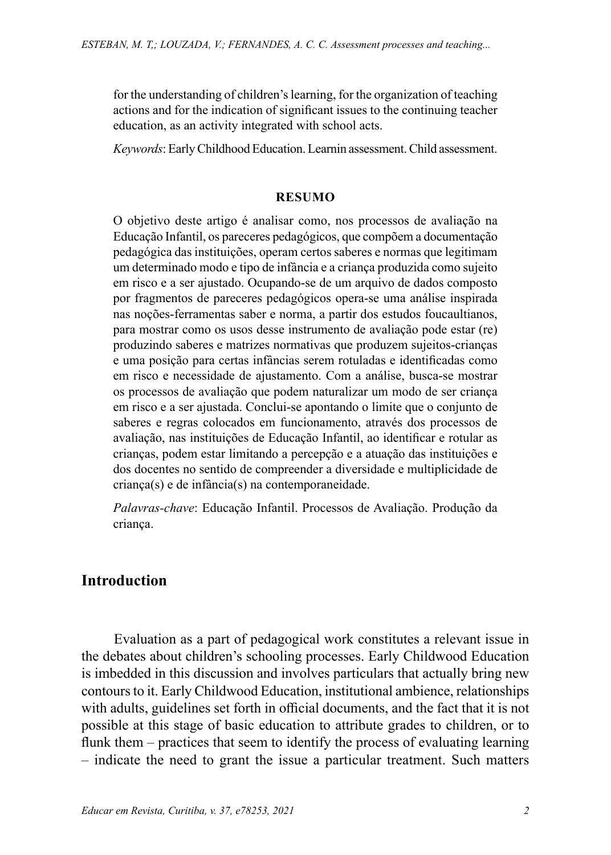for the understanding of children's learning, for the organization of teaching actions and for the indication of significant issues to the continuing teacher education, as an activity integrated with school acts.

*Keywords*: Early Childhood Education. Learnin assessment. Child assessment.

#### **RESUMO**

O objetivo deste artigo é analisar como, nos processos de avaliação na Educação Infantil, os pareceres pedagógicos, que compõem a documentação pedagógica das instituições, operam certos saberes e normas que legitimam um determinado modo e tipo de infância e a criança produzida como sujeito em risco e a ser ajustado. Ocupando-se de um arquivo de dados composto por fragmentos de pareceres pedagógicos opera-se uma análise inspirada nas noções-ferramentas saber e norma, a partir dos estudos foucaultianos, para mostrar como os usos desse instrumento de avaliação pode estar (re) produzindo saberes e matrizes normativas que produzem sujeitos-crianças e uma posição para certas infâncias serem rotuladas e identificadas como em risco e necessidade de ajustamento. Com a análise, busca-se mostrar os processos de avaliação que podem naturalizar um modo de ser criança em risco e a ser ajustada. Conclui-se apontando o limite que o conjunto de saberes e regras colocados em funcionamento, através dos processos de avaliação, nas instituições de Educação Infantil, ao identificar e rotular as crianças, podem estar limitando a percepção e a atuação das instituições e dos docentes no sentido de compreender a diversidade e multiplicidade de criança(s) e de infância(s) na contemporaneidade.

*Palavras-chave*: Educação Infantil. Processos de Avaliação. Produção da criança.

### **Introduction**

Evaluation as a part of pedagogical work constitutes a relevant issue in the debates about children's schooling processes. Early Childwood Education is imbedded in this discussion and involves particulars that actually bring new contours to it. Early Childwood Education, institutional ambience, relationships with adults, guidelines set forth in official documents, and the fact that it is not possible at this stage of basic education to attribute grades to children, or to flunk them – practices that seem to identify the process of evaluating learning – indicate the need to grant the issue a particular treatment. Such matters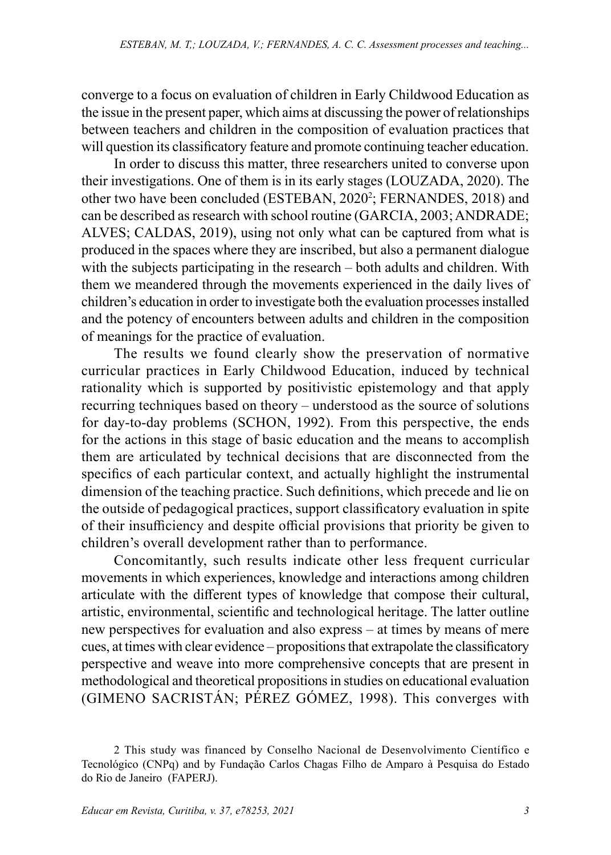converge to a focus on evaluation of children in Early Childwood Education as the issue in the present paper, which aims at discussing the power of relationships between teachers and children in the composition of evaluation practices that will question its classificatory feature and promote continuing teacher education.

In order to discuss this matter, three researchers united to converse upon their investigations. One of them is in its early stages (LOUZADA, 2020). The other two have been concluded (ESTEBAN, 2020<sup>2</sup>; FERNANDES, 2018) and can be described as research with school routine (GARCIA, 2003; ANDRADE; ALVES; CALDAS, 2019), using not only what can be captured from what is produced in the spaces where they are inscribed, but also a permanent dialogue with the subjects participating in the research – both adults and children. With them we meandered through the movements experienced in the daily lives of children's education in order to investigate both the evaluation processes installed and the potency of encounters between adults and children in the composition of meanings for the practice of evaluation.

The results we found clearly show the preservation of normative curricular practices in Early Childwood Education, induced by technical rationality which is supported by positivistic epistemology and that apply recurring techniques based on theory – understood as the source of solutions for day-to-day problems (SCHON, 1992). From this perspective, the ends for the actions in this stage of basic education and the means to accomplish them are articulated by technical decisions that are disconnected from the specifics of each particular context, and actually highlight the instrumental dimension of the teaching practice. Such definitions, which precede and lie on the outside of pedagogical practices, support classificatory evaluation in spite of their insufficiency and despite official provisions that priority be given to children's overall development rather than to performance.

Concomitantly, such results indicate other less frequent curricular movements in which experiences, knowledge and interactions among children articulate with the different types of knowledge that compose their cultural, artistic, environmental, scientific and technological heritage. The latter outline new perspectives for evaluation and also express – at times by means of mere cues, at times with clear evidence – propositions that extrapolate the classificatory perspective and weave into more comprehensive concepts that are present in methodological and theoretical propositions in studies on educational evaluation (GIMENO SACRISTÁN; PÉREZ GÓMEZ, 1998). This converges with

<sup>2</sup> This study was financed by Conselho Nacional de Desenvolvimento Científico e Tecnológico (CNPq) and by Fundação Carlos Chagas Filho de Amparo à Pesquisa do Estado do Rio de Janeiro (FAPERJ).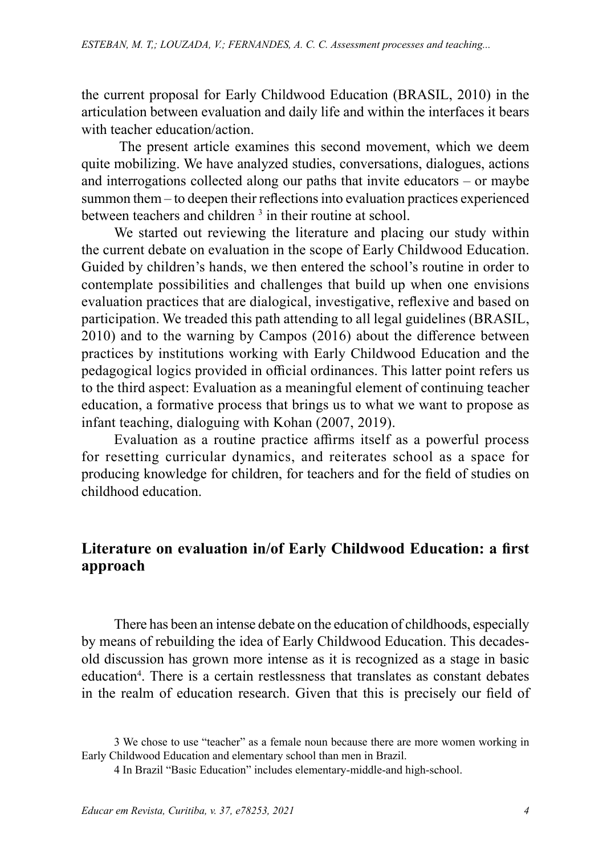the current proposal for Early Childwood Education (BRASIL, 2010) in the articulation between evaluation and daily life and within the interfaces it bears with teacher education/action.

The present article examines this second movement, which we deem quite mobilizing. We have analyzed studies, conversations, dialogues, actions and interrogations collected along our paths that invite educators – or maybe summon them – to deepen their reflections into evaluation practices experienced between teachers and children <sup>3</sup> in their routine at school.

We started out reviewing the literature and placing our study within the current debate on evaluation in the scope of Early Childwood Education. Guided by children's hands, we then entered the school's routine in order to contemplate possibilities and challenges that build up when one envisions evaluation practices that are dialogical, investigative, reflexive and based on participation. We treaded this path attending to all legal guidelines (BRASIL, 2010) and to the warning by Campos (2016) about the difference between practices by institutions working with Early Childwood Education and the pedagogical logics provided in official ordinances. This latter point refers us to the third aspect: Evaluation as a meaningful element of continuing teacher education, a formative process that brings us to what we want to propose as infant teaching, dialoguing with Kohan (2007, 2019).

Evaluation as a routine practice affirms itself as a powerful process for resetting curricular dynamics, and reiterates school as a space for producing knowledge for children, for teachers and for the field of studies on childhood education.

## **Literature on evaluation in/of Early Childwood Education: a first approach**

There has been an intense debate on the education of childhoods, especially by means of rebuilding the idea of Early Childwood Education. This decadesold discussion has grown more intense as it is recognized as a stage in basic education<sup>4</sup>. There is a certain restlessness that translates as constant debates in the realm of education research. Given that this is precisely our field of

<sup>3</sup> We chose to use "teacher" as a female noun because there are more women working in Early Childwood Education and elementary school than men in Brazil.

<sup>4</sup> In Brazil "Basic Education" includes elementary-middle-and high-school.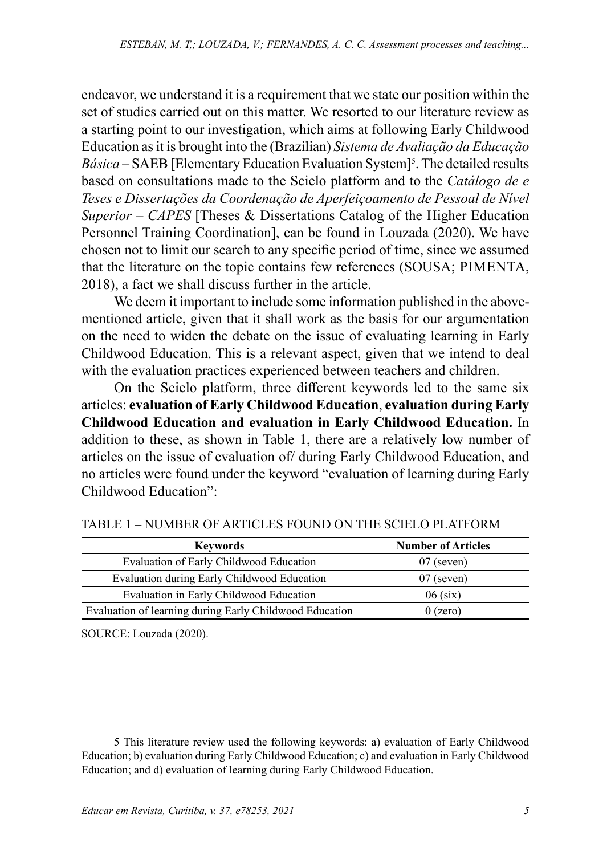endeavor, we understand it is a requirement that we state our position within the set of studies carried out on this matter. We resorted to our literature review as a starting point to our investigation, which aims at following Early Childwood Education as it is brought into the (Brazilian) *Sistema de Avaliação da Educação Básica* – SAEB [Elementary Education Evaluation System]<sup>5</sup>. The detailed results based on consultations made to the Scielo platform and to the *Catálogo de e Teses e Dissertações da Coordenação de Aperfeiçoamento de Pessoal de Nível Superior – CAPES* [Theses & Dissertations Catalog of the Higher Education Personnel Training Coordination], can be found in Louzada (2020). We have chosen not to limit our search to any specific period of time, since we assumed that the literature on the topic contains few references (SOUSA; PIMENTA, 2018), a fact we shall discuss further in the article.

We deem it important to include some information published in the abovementioned article, given that it shall work as the basis for our argumentation on the need to widen the debate on the issue of evaluating learning in Early Childwood Education. This is a relevant aspect, given that we intend to deal with the evaluation practices experienced between teachers and children.

On the Scielo platform, three different keywords led to the same six articles: **evaluation of Early Childwood Education**, **evaluation during Early Childwood Education and evaluation in Early Childwood Education.** In addition to these, as shown in Table 1, there are a relatively low number of articles on the issue of evaluation of/ during Early Childwood Education, and no articles were found under the keyword "evaluation of learning during Early Childwood Education":

| <b>Keywords</b>                                         | <b>Number of Articles</b> |
|---------------------------------------------------------|---------------------------|
| Evaluation of Early Childwood Education                 | $07$ (seven)              |
| Evaluation during Early Childwood Education             | $07$ (seven)              |
| Evaluation in Early Childwood Education                 | $06$ (six)                |
| Evaluation of learning during Early Childwood Education | $0$ (zero)                |

TABLE 1 – NUMBER OF ARTICLES FOUND ON THE SCIELO PLATFORM

SOURCE: Louzada (2020).

5 This literature review used the following keywords: a) evaluation of Early Childwood Education; b) evaluation during Early Childwood Education; c) and evaluation in Early Childwood Education; and d) evaluation of learning during Early Childwood Education.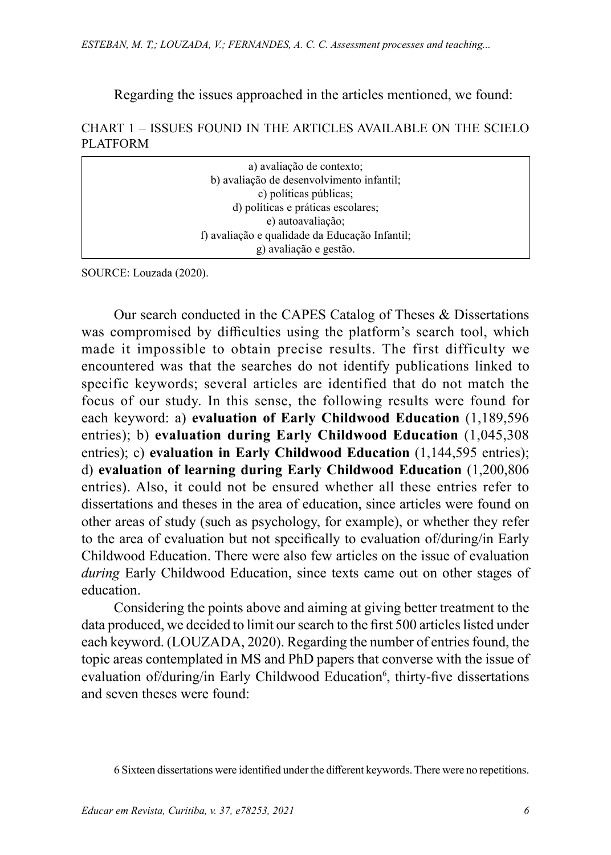Regarding the issues approached in the articles mentioned, we found:

#### CHART 1 – ISSUES FOUND IN THE ARTICLES AVAILABLE ON THE SCIELO PLATFORM

| a) avaliação de contexto;                      |  |
|------------------------------------------------|--|
| b) avaliação de desenvolvimento infantil;      |  |
| c) políticas públicas;                         |  |
| d) políticas e práticas escolares;             |  |
| e) autoavaliação;                              |  |
| f) avaliação e qualidade da Educação Infantil; |  |
| g) avaliação e gestão.                         |  |

SOURCE: Louzada (2020).

Our search conducted in the CAPES Catalog of Theses & Dissertations was compromised by difficulties using the platform's search tool, which made it impossible to obtain precise results. The first difficulty we encountered was that the searches do not identify publications linked to specific keywords; several articles are identified that do not match the focus of our study. In this sense, the following results were found for each keyword: a) **evaluation of Early Childwood Education** (1,189,596 entries); b) **evaluation during Early Childwood Education** (1,045,308 entries); c) **evaluation in Early Childwood Education** (1,144,595 entries); d) **evaluation of learning during Early Childwood Education** (1,200,806 entries). Also, it could not be ensured whether all these entries refer to dissertations and theses in the area of education, since articles were found on other areas of study (such as psychology, for example), or whether they refer to the area of evaluation but not specifically to evaluation of/during/in Early Childwood Education. There were also few articles on the issue of evaluation *during* Early Childwood Education, since texts came out on other stages of education.

Considering the points above and aiming at giving better treatment to the data produced, we decided to limit our search to the first 500 articles listed under each keyword. (LOUZADA, 2020). Regarding the number of entries found, the topic areas contemplated in MS and PhD papers that converse with the issue of evaluation of/during/in Early Childwood Education<sup>6</sup>, thirty-five dissertations and seven theses were found:

6 Sixteen dissertations were identified under the different keywords. There were no repetitions.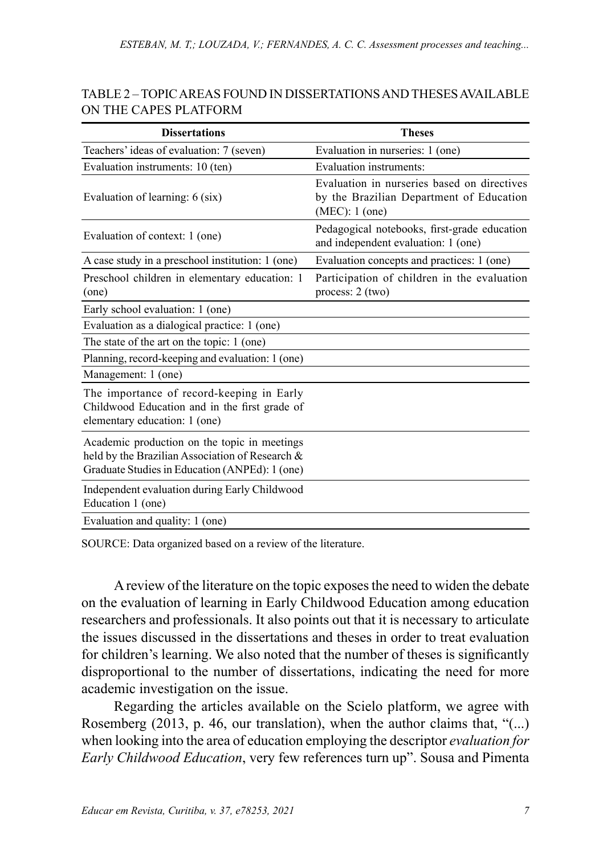| TABLE 2 – TOPIC AREAS FOUND IN DISSERTATIONS AND THESES AVAILABLE |
|-------------------------------------------------------------------|
| ON THE CAPES PLATFORM                                             |

| <b>Dissertations</b>                                                                                                                              | <b>Theses</b>                                                                                               |
|---------------------------------------------------------------------------------------------------------------------------------------------------|-------------------------------------------------------------------------------------------------------------|
| Teachers' ideas of evaluation: 7 (seven)                                                                                                          | Evaluation in nurseries: 1 (one)                                                                            |
| Evaluation instruments: 10 (ten)                                                                                                                  | <b>Evaluation</b> instruments:                                                                              |
| Evaluation of learning: 6 (six)                                                                                                                   | Evaluation in nurseries based on directives<br>by the Brazilian Department of Education<br>$(MEC): 1$ (one) |
| Evaluation of context: 1 (one)                                                                                                                    | Pedagogical notebooks, first-grade education<br>and independent evaluation: 1 (one)                         |
| A case study in a preschool institution: 1 (one)                                                                                                  | Evaluation concepts and practices: 1 (one)                                                                  |
| Preschool children in elementary education: 1<br>(one)                                                                                            | Participation of children in the evaluation<br>process: 2 (two)                                             |
| Early school evaluation: 1 (one)                                                                                                                  |                                                                                                             |
| Evaluation as a dialogical practice: 1 (one)                                                                                                      |                                                                                                             |
| The state of the art on the topic: 1 (one)                                                                                                        |                                                                                                             |
| Planning, record-keeping and evaluation: 1 (one)                                                                                                  |                                                                                                             |
| Management: 1 (one)                                                                                                                               |                                                                                                             |
| The importance of record-keeping in Early<br>Childwood Education and in the first grade of<br>elementary education: 1 (one)                       |                                                                                                             |
| Academic production on the topic in meetings<br>held by the Brazilian Association of Research &<br>Graduate Studies in Education (ANPEd): 1 (one) |                                                                                                             |
| Independent evaluation during Early Childwood<br>Education 1 (one)                                                                                |                                                                                                             |
| Evaluation and quality: 1 (one)                                                                                                                   |                                                                                                             |

SOURCE: Data organized based on a review of the literature.

A review of the literature on the topic exposes the need to widen the debate on the evaluation of learning in Early Childwood Education among education researchers and professionals. It also points out that it is necessary to articulate the issues discussed in the dissertations and theses in order to treat evaluation for children's learning. We also noted that the number of theses is significantly disproportional to the number of dissertations, indicating the need for more academic investigation on the issue.

Regarding the articles available on the Scielo platform, we agree with Rosemberg (2013, p. 46, our translation), when the author claims that, "(...) when looking into the area of education employing the descriptor *evaluation for Early Childwood Education*, very few references turn up". Sousa and Pimenta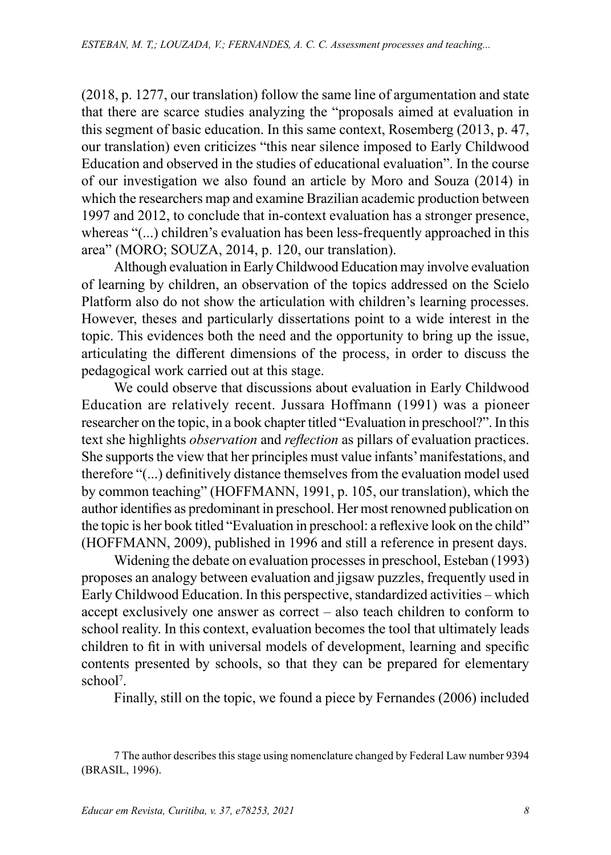(2018, p. 1277, our translation) follow the same line of argumentation and state that there are scarce studies analyzing the "proposals aimed at evaluation in this segment of basic education. In this same context, Rosemberg (2013, p. 47, our translation) even criticizes "this near silence imposed to Early Childwood Education and observed in the studies of educational evaluation". In the course of our investigation we also found an article by Moro and Souza (2014) in which the researchers map and examine Brazilian academic production between 1997 and 2012, to conclude that in-context evaluation has a stronger presence, whereas "(...) children's evaluation has been less-frequently approached in this area" (MORO; SOUZA, 2014, p. 120, our translation).

Although evaluation in Early Childwood Education may involve evaluation of learning by children, an observation of the topics addressed on the Scielo Platform also do not show the articulation with children's learning processes. However, theses and particularly dissertations point to a wide interest in the topic. This evidences both the need and the opportunity to bring up the issue, articulating the different dimensions of the process, in order to discuss the pedagogical work carried out at this stage.

We could observe that discussions about evaluation in Early Childwood Education are relatively recent. Jussara Hoffmann (1991) was a pioneer researcher on the topic, in a book chapter titled "Evaluation in preschool?". In this text she highlights *observation* and *reflection* as pillars of evaluation practices. She supports the view that her principles must value infants' manifestations, and therefore "(...) definitively distance themselves from the evaluation model used by common teaching" (HOFFMANN, 1991, p. 105, our translation), which the author identifies as predominant in preschool. Her most renowned publication on the topic is her book titled "Evaluation in preschool: a reflexive look on the child" (HOFFMANN, 2009), published in 1996 and still a reference in present days.

Widening the debate on evaluation processes in preschool, Esteban (1993) proposes an analogy between evaluation and jigsaw puzzles, frequently used in Early Childwood Education. In this perspective, standardized activities – which accept exclusively one answer as correct – also teach children to conform to school reality. In this context, evaluation becomes the tool that ultimately leads children to fit in with universal models of development, learning and specific contents presented by schools, so that they can be prepared for elementary school<sup>7</sup> .

Finally, still on the topic, we found a piece by Fernandes (2006) included

<sup>7</sup> The author describes this stage using nomenclature changed by Federal Law number 9394 (BRASIL, 1996).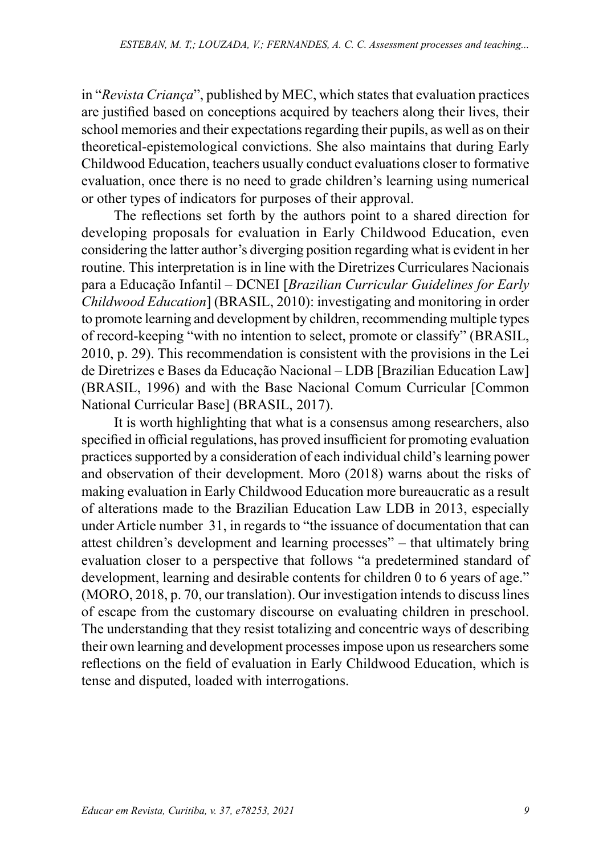in "*Revista Criança*", published by MEC, which states that evaluation practices are justified based on conceptions acquired by teachers along their lives, their school memories and their expectations regarding their pupils, as well as on their theoretical-epistemological convictions. She also maintains that during Early Childwood Education, teachers usually conduct evaluations closer to formative evaluation, once there is no need to grade children's learning using numerical or other types of indicators for purposes of their approval.

The reflections set forth by the authors point to a shared direction for developing proposals for evaluation in Early Childwood Education, even considering the latter author's diverging position regarding what is evident in her routine. This interpretation is in line with the Diretrizes Curriculares Nacionais para a Educação Infantil – DCNEI [*Brazilian Curricular Guidelines for Early Childwood Education*] (BRASIL, 2010): investigating and monitoring in order to promote learning and development by children, recommending multiple types of record-keeping "with no intention to select, promote or classify" (BRASIL, 2010, p. 29). This recommendation is consistent with the provisions in the Lei de Diretrizes e Bases da Educação Nacional – LDB [Brazilian Education Law] (BRASIL, 1996) and with the Base Nacional Comum Curricular [Common National Curricular Base] (BRASIL, 2017).

It is worth highlighting that what is a consensus among researchers, also specified in official regulations, has proved insufficient for promoting evaluation practices supported by a consideration of each individual child's learning power and observation of their development. Moro (2018) warns about the risks of making evaluation in Early Childwood Education more bureaucratic as a result of alterations made to the Brazilian Education Law LDB in 2013, especially under Article number 31, in regards to "the issuance of documentation that can attest children's development and learning processes" – that ultimately bring evaluation closer to a perspective that follows "a predetermined standard of development, learning and desirable contents for children 0 to 6 years of age." (MORO, 2018, p. 70, our translation). Our investigation intends to discuss lines of escape from the customary discourse on evaluating children in preschool. The understanding that they resist totalizing and concentric ways of describing their own learning and development processes impose upon us researchers some reflections on the field of evaluation in Early Childwood Education, which is tense and disputed, loaded with interrogations.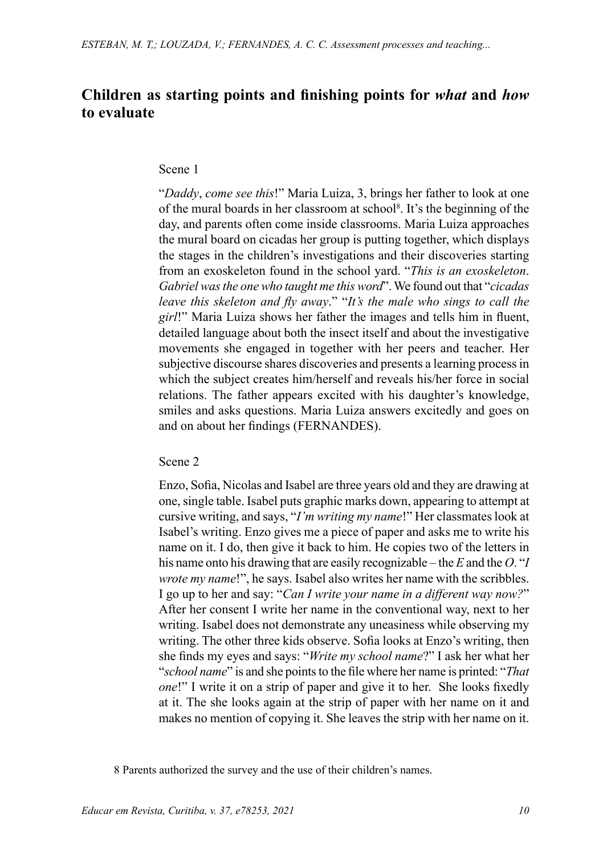## **Children as starting points and finishing points for** *what* **and** *how* **to evaluate**

#### Scene 1

"*Daddy*, *come see this*!" Maria Luiza, 3, brings her father to look at one of the mural boards in her classroom at school<sup>8</sup>. It's the beginning of the day, and parents often come inside classrooms. Maria Luiza approaches the mural board on cicadas her group is putting together, which displays the stages in the children's investigations and their discoveries starting from an exoskeleton found in the school yard. "*This is an exoskeleton*. *Gabriel was the one who taught me this word*". We found out that "*cicadas leave this skeleton and fly away*." "*It's the male who sings to call the girl*!" Maria Luiza shows her father the images and tells him in fluent, detailed language about both the insect itself and about the investigative movements she engaged in together with her peers and teacher. Her subjective discourse shares discoveries and presents a learning process in which the subject creates him/herself and reveals his/her force in social relations. The father appears excited with his daughter's knowledge, smiles and asks questions. Maria Luiza answers excitedly and goes on and on about her findings (FERNANDES).

Scene 2

Enzo, Sofia, Nicolas and Isabel are three years old and they are drawing at one, single table. Isabel puts graphic marks down, appearing to attempt at cursive writing, and says, "*I'm writing my name*!" Her classmates look at Isabel's writing. Enzo gives me a piece of paper and asks me to write his name on it. I do, then give it back to him. He copies two of the letters in his name onto his drawing that are easily recognizable – the *E* and the *O*. "*I wrote my name*!", he says. Isabel also writes her name with the scribbles. I go up to her and say: "*Can I write your name in a different way now?*" After her consent I write her name in the conventional way, next to her writing. Isabel does not demonstrate any uneasiness while observing my writing. The other three kids observe. Sofia looks at Enzo's writing, then she finds my eyes and says: "*Write my school name*?" I ask her what her "*school name*" is and she points to the file where her name is printed: "*That one*!" I write it on a strip of paper and give it to her. She looks fixedly at it. The she looks again at the strip of paper with her name on it and makes no mention of copying it. She leaves the strip with her name on it.

8 Parents authorized the survey and the use of their children's names.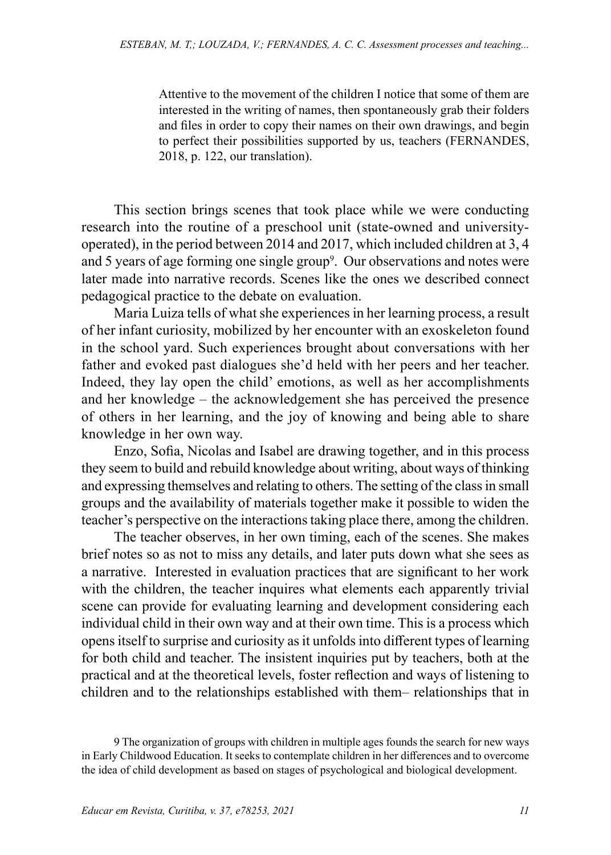Attentive to the movement of the children I notice that some of them are interested in the writing of names, then spontaneously grab their folders and files in order to copy their names on their own drawings, and begin to perfect their possibilities supported by us, teachers (FERNANDES, 2018, p. 122, our translation).

This section brings scenes that took place while we were conducting research into the routine of a preschool unit (state-owned and universityoperated), in the period between 2014 and 2017, which included children at 3, 4 and 5 years of age forming one single group<sup>9</sup>. Our observations and notes were later made into narrative records. Scenes like the ones we described connect pedagogical practice to the debate on evaluation.

Maria Luiza tells of what she experiences in her learning process, a result of her infant curiosity, mobilized by her encounter with an exoskeleton found in the school yard. Such experiences brought about conversations with her father and evoked past dialogues she'd held with her peers and her teacher. Indeed, they lay open the child' emotions, as well as her accomplishments and her knowledge – the acknowledgement she has perceived the presence of others in her learning, and the joy of knowing and being able to share knowledge in her own way.

Enzo, Sofia, Nicolas and Isabel are drawing together, and in this process they seem to build and rebuild knowledge about writing, about ways of thinking and expressing themselves and relating to others. The setting of the class in small groups and the availability of materials together make it possible to widen the teacher's perspective on the interactions taking place there, among the children.

The teacher observes, in her own timing, each of the scenes. She makes brief notes so as not to miss any details, and later puts down what she sees as a narrative. Interested in evaluation practices that are significant to her work with the children, the teacher inquires what elements each apparently trivial scene can provide for evaluating learning and development considering each individual child in their own way and at their own time. This is a process which opens itself to surprise and curiosity as it unfolds into different types of learning for both child and teacher. The insistent inquiries put by teachers, both at the practical and at the theoretical levels, foster reflection and ways of listening to children and to the relationships established with them– relationships that in

<sup>9</sup> The organization of groups with children in multiple ages founds the search for new ways in Early Childwood Education. It seeks to contemplate children in her differences and to overcome the idea of child development as based on stages of psychological and biological development.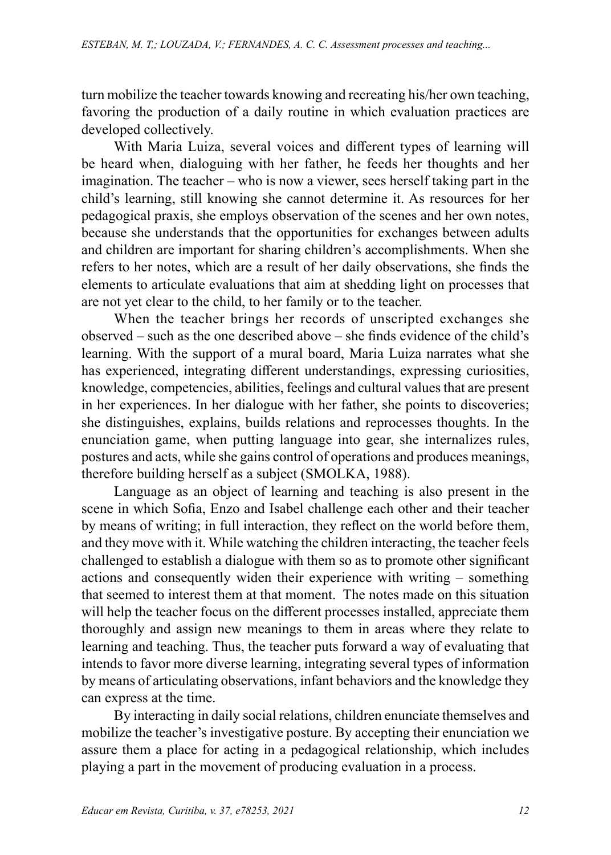turn mobilize the teacher towards knowing and recreating his/her own teaching, favoring the production of a daily routine in which evaluation practices are developed collectively.

With Maria Luiza, several voices and different types of learning will be heard when, dialoguing with her father, he feeds her thoughts and her imagination. The teacher – who is now a viewer, sees herself taking part in the child's learning, still knowing she cannot determine it. As resources for her pedagogical praxis, she employs observation of the scenes and her own notes, because she understands that the opportunities for exchanges between adults and children are important for sharing children's accomplishments. When she refers to her notes, which are a result of her daily observations, she finds the elements to articulate evaluations that aim at shedding light on processes that are not yet clear to the child, to her family or to the teacher.

When the teacher brings her records of unscripted exchanges she observed – such as the one described above – she finds evidence of the child's learning. With the support of a mural board, Maria Luiza narrates what she has experienced, integrating different understandings, expressing curiosities, knowledge, competencies, abilities, feelings and cultural values that are present in her experiences. In her dialogue with her father, she points to discoveries; she distinguishes, explains, builds relations and reprocesses thoughts. In the enunciation game, when putting language into gear, she internalizes rules, postures and acts, while she gains control of operations and produces meanings, therefore building herself as a subject (SMOLKA, 1988).

Language as an object of learning and teaching is also present in the scene in which Sofia, Enzo and Isabel challenge each other and their teacher by means of writing; in full interaction, they reflect on the world before them, and they move with it. While watching the children interacting, the teacher feels challenged to establish a dialogue with them so as to promote other significant actions and consequently widen their experience with writing – something that seemed to interest them at that moment. The notes made on this situation will help the teacher focus on the different processes installed, appreciate them thoroughly and assign new meanings to them in areas where they relate to learning and teaching. Thus, the teacher puts forward a way of evaluating that intends to favor more diverse learning, integrating several types of information by means of articulating observations, infant behaviors and the knowledge they can express at the time.

By interacting in daily social relations, children enunciate themselves and mobilize the teacher's investigative posture. By accepting their enunciation we assure them a place for acting in a pedagogical relationship, which includes playing a part in the movement of producing evaluation in a process.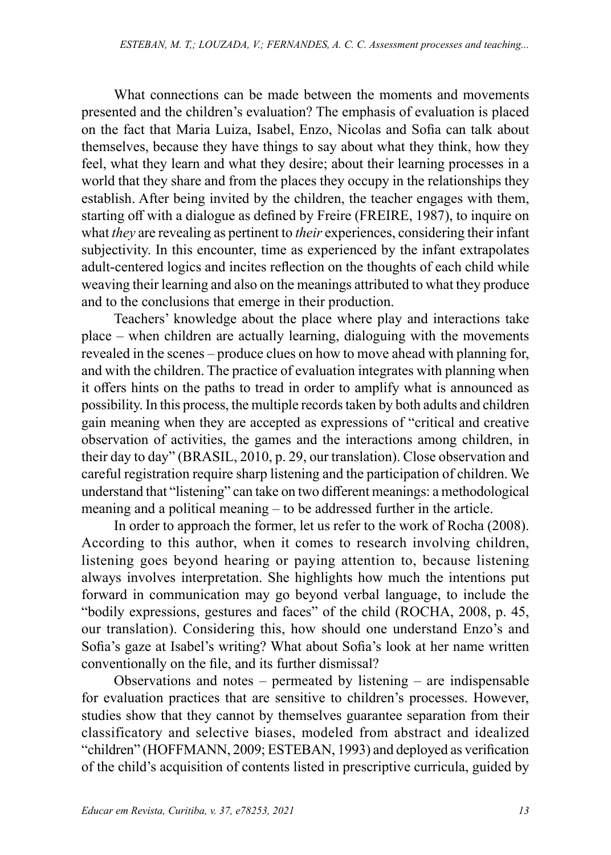What connections can be made between the moments and movements presented and the children's evaluation? The emphasis of evaluation is placed on the fact that Maria Luiza, Isabel, Enzo, Nicolas and Sofia can talk about themselves, because they have things to say about what they think, how they feel, what they learn and what they desire; about their learning processes in a world that they share and from the places they occupy in the relationships they establish. After being invited by the children, the teacher engages with them, starting off with a dialogue as defined by Freire (FREIRE, 1987), to inquire on what *they* are revealing as pertinent to *their* experiences, considering their infant subjectivity. In this encounter, time as experienced by the infant extrapolates adult-centered logics and incites reflection on the thoughts of each child while weaving their learning and also on the meanings attributed to what they produce and to the conclusions that emerge in their production.

Teachers' knowledge about the place where play and interactions take place – when children are actually learning, dialoguing with the movements revealed in the scenes – produce clues on how to move ahead with planning for, and with the children. The practice of evaluation integrates with planning when it offers hints on the paths to tread in order to amplify what is announced as possibility. In this process, the multiple records taken by both adults and children gain meaning when they are accepted as expressions of "critical and creative observation of activities, the games and the interactions among children, in their day to day" (BRASIL, 2010, p. 29, our translation). Close observation and careful registration require sharp listening and the participation of children. We understand that "listening" can take on two different meanings: a methodological meaning and a political meaning – to be addressed further in the article.

In order to approach the former, let us refer to the work of Rocha (2008). According to this author, when it comes to research involving children, listening goes beyond hearing or paying attention to, because listening always involves interpretation. She highlights how much the intentions put forward in communication may go beyond verbal language, to include the "bodily expressions, gestures and faces" of the child (ROCHA, 2008, p. 45, our translation). Considering this, how should one understand Enzo's and Sofia's gaze at Isabel's writing? What about Sofia's look at her name written conventionally on the file, and its further dismissal?

Observations and notes – permeated by listening – are indispensable for evaluation practices that are sensitive to children's processes. However, studies show that they cannot by themselves guarantee separation from their classificatory and selective biases, modeled from abstract and idealized "children" (HOFFMANN, 2009; ESTEBAN, 1993) and deployed as verification of the child's acquisition of contents listed in prescriptive curricula, guided by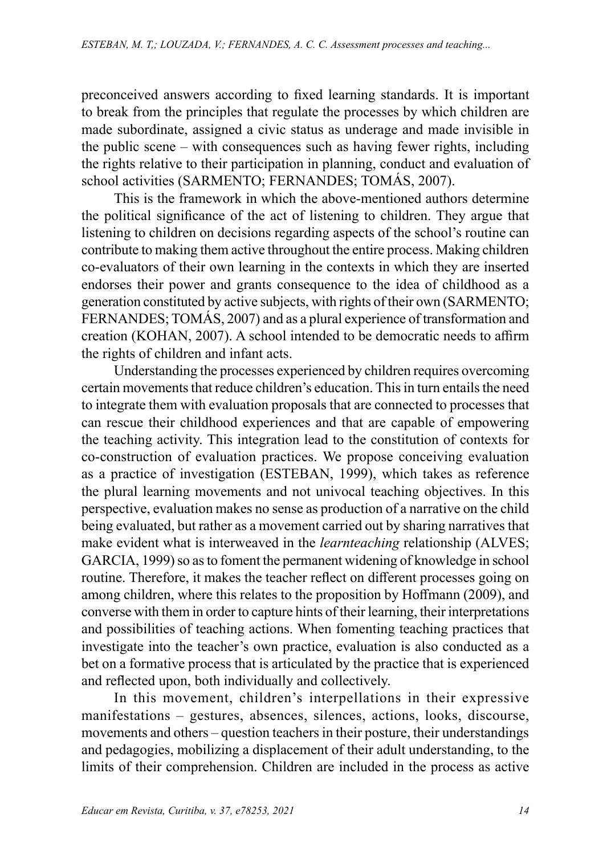preconceived answers according to fixed learning standards. It is important to break from the principles that regulate the processes by which children are made subordinate, assigned a civic status as underage and made invisible in the public scene – with consequences such as having fewer rights, including the rights relative to their participation in planning, conduct and evaluation of school activities (SARMENTO; FERNANDES; TOMÁS, 2007).

This is the framework in which the above-mentioned authors determine the political significance of the act of listening to children. They argue that listening to children on decisions regarding aspects of the school's routine can contribute to making them active throughout the entire process. Making children co-evaluators of their own learning in the contexts in which they are inserted endorses their power and grants consequence to the idea of childhood as a generation constituted by active subjects, with rights of their own (SARMENTO; FERNANDES; TOMÁS, 2007) and as a plural experience of transformation and creation (KOHAN, 2007). A school intended to be democratic needs to affirm the rights of children and infant acts.

Understanding the processes experienced by children requires overcoming certain movements that reduce children's education. This in turn entails the need to integrate them with evaluation proposals that are connected to processes that can rescue their childhood experiences and that are capable of empowering the teaching activity. This integration lead to the constitution of contexts for co-construction of evaluation practices. We propose conceiving evaluation as a practice of investigation (ESTEBAN, 1999), which takes as reference the plural learning movements and not univocal teaching objectives. In this perspective, evaluation makes no sense as production of a narrative on the child being evaluated, but rather as a movement carried out by sharing narratives that make evident what is interweaved in the *learnteaching* relationship (ALVES; GARCIA, 1999) so as to foment the permanent widening of knowledge in school routine. Therefore, it makes the teacher reflect on different processes going on among children, where this relates to the proposition by Hoffmann (2009), and converse with them in order to capture hints of their learning, their interpretations and possibilities of teaching actions. When fomenting teaching practices that investigate into the teacher's own practice, evaluation is also conducted as a bet on a formative process that is articulated by the practice that is experienced and reflected upon, both individually and collectively.

In this movement, children's interpellations in their expressive manifestations – gestures, absences, silences, actions, looks, discourse, movements and others – question teachers in their posture, their understandings and pedagogies, mobilizing a displacement of their adult understanding, to the limits of their comprehension. Children are included in the process as active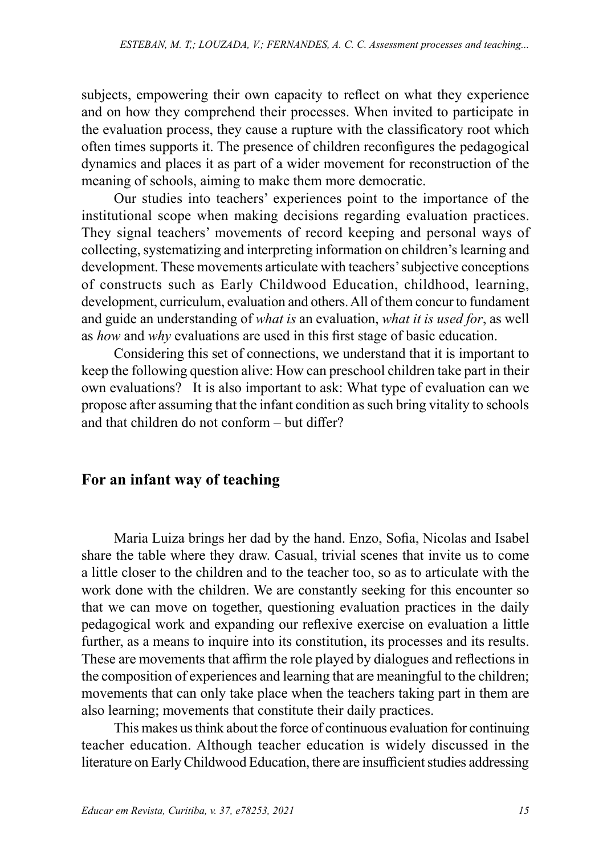subjects, empowering their own capacity to reflect on what they experience and on how they comprehend their processes. When invited to participate in the evaluation process, they cause a rupture with the classificatory root which often times supports it. The presence of children reconfigures the pedagogical dynamics and places it as part of a wider movement for reconstruction of the meaning of schools, aiming to make them more democratic.

Our studies into teachers' experiences point to the importance of the institutional scope when making decisions regarding evaluation practices. They signal teachers' movements of record keeping and personal ways of collecting, systematizing and interpreting information on children's learning and development. These movements articulate with teachers' subjective conceptions of constructs such as Early Childwood Education, childhood, learning, development, curriculum, evaluation and others. All of them concur to fundament and guide an understanding of *what is* an evaluation, *what it is used for*, as well as *how* and *why* evaluations are used in this first stage of basic education.

Considering this set of connections, we understand that it is important to keep the following question alive: How can preschool children take part in their own evaluations? It is also important to ask: What type of evaluation can we propose after assuming that the infant condition as such bring vitality to schools and that children do not conform – but differ?

## **For an infant way of teaching**

Maria Luiza brings her dad by the hand. Enzo, Sofia, Nicolas and Isabel share the table where they draw. Casual, trivial scenes that invite us to come a little closer to the children and to the teacher too, so as to articulate with the work done with the children. We are constantly seeking for this encounter so that we can move on together, questioning evaluation practices in the daily pedagogical work and expanding our reflexive exercise on evaluation a little further, as a means to inquire into its constitution, its processes and its results. These are movements that affirm the role played by dialogues and reflections in the composition of experiences and learning that are meaningful to the children; movements that can only take place when the teachers taking part in them are also learning; movements that constitute their daily practices.

This makes us think about the force of continuous evaluation for continuing teacher education. Although teacher education is widely discussed in the literature on Early Childwood Education, there are insufficient studies addressing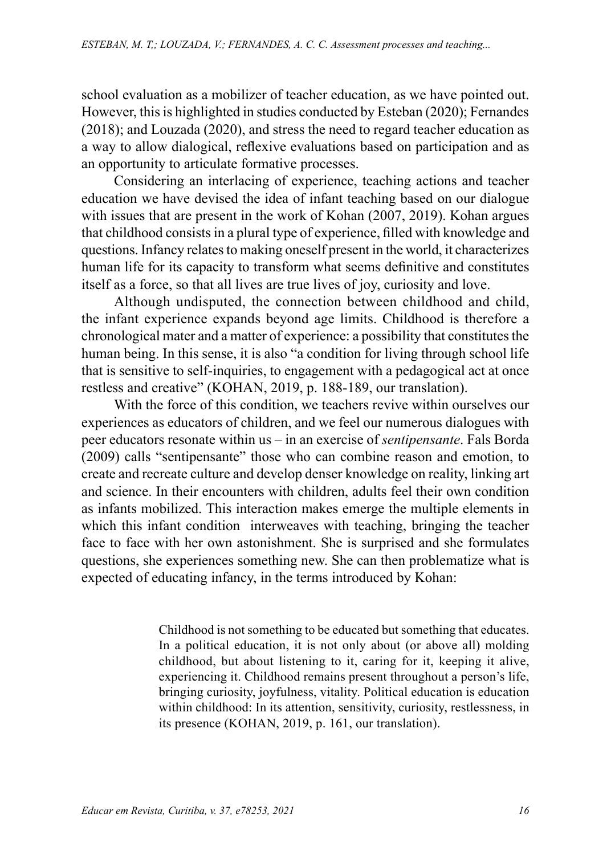school evaluation as a mobilizer of teacher education, as we have pointed out. However, this is highlighted in studies conducted by Esteban (2020); Fernandes (2018); and Louzada (2020), and stress the need to regard teacher education as a way to allow dialogical, reflexive evaluations based on participation and as an opportunity to articulate formative processes.

Considering an interlacing of experience, teaching actions and teacher education we have devised the idea of infant teaching based on our dialogue with issues that are present in the work of Kohan (2007, 2019). Kohan argues that childhood consists in a plural type of experience, filled with knowledge and questions. Infancy relates to making oneself present in the world, it characterizes human life for its capacity to transform what seems definitive and constitutes itself as a force, so that all lives are true lives of joy, curiosity and love.

Although undisputed, the connection between childhood and child, the infant experience expands beyond age limits. Childhood is therefore a chronological mater and a matter of experience: a possibility that constitutes the human being. In this sense, it is also "a condition for living through school life that is sensitive to self-inquiries, to engagement with a pedagogical act at once restless and creative" (KOHAN, 2019, p. 188-189, our translation).

With the force of this condition, we teachers revive within ourselves our experiences as educators of children, and we feel our numerous dialogues with peer educators resonate within us – in an exercise of *sentipensante*. Fals Borda (2009) calls "sentipensante" those who can combine reason and emotion, to create and recreate culture and develop denser knowledge on reality, linking art and science. In their encounters with children, adults feel their own condition as infants mobilized. This interaction makes emerge the multiple elements in which this infant condition interweaves with teaching, bringing the teacher face to face with her own astonishment. She is surprised and she formulates questions, she experiences something new. She can then problematize what is expected of educating infancy, in the terms introduced by Kohan:

> Childhood is not something to be educated but something that educates. In a political education, it is not only about (or above all) molding childhood, but about listening to it, caring for it, keeping it alive, experiencing it. Childhood remains present throughout a person's life, bringing curiosity, joyfulness, vitality. Political education is education within childhood: In its attention, sensitivity, curiosity, restlessness, in its presence (KOHAN, 2019, p. 161, our translation).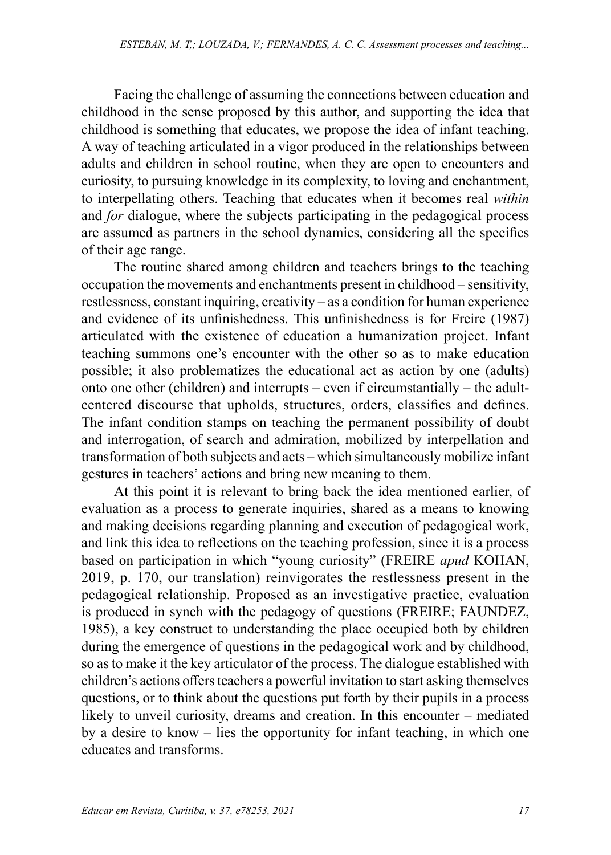Facing the challenge of assuming the connections between education and childhood in the sense proposed by this author, and supporting the idea that childhood is something that educates, we propose the idea of infant teaching. A way of teaching articulated in a vigor produced in the relationships between adults and children in school routine, when they are open to encounters and curiosity, to pursuing knowledge in its complexity, to loving and enchantment, to interpellating others. Teaching that educates when it becomes real *within*  and *for* dialogue, where the subjects participating in the pedagogical process are assumed as partners in the school dynamics, considering all the specifics of their age range.

The routine shared among children and teachers brings to the teaching occupation the movements and enchantments present in childhood – sensitivity, restlessness, constant inquiring, creativity – as a condition for human experience and evidence of its unfinishedness. This unfinishedness is for Freire (1987) articulated with the existence of education a humanization project. Infant teaching summons one's encounter with the other so as to make education possible; it also problematizes the educational act as action by one (adults) onto one other (children) and interrupts – even if circumstantially – the adultcentered discourse that upholds, structures, orders, classifies and defines. The infant condition stamps on teaching the permanent possibility of doubt and interrogation, of search and admiration, mobilized by interpellation and transformation of both subjects and acts – which simultaneously mobilize infant gestures in teachers' actions and bring new meaning to them.

At this point it is relevant to bring back the idea mentioned earlier, of evaluation as a process to generate inquiries, shared as a means to knowing and making decisions regarding planning and execution of pedagogical work, and link this idea to reflections on the teaching profession, since it is a process based on participation in which "young curiosity" (FREIRE *apud* KOHAN, 2019, p. 170, our translation) reinvigorates the restlessness present in the pedagogical relationship. Proposed as an investigative practice, evaluation is produced in synch with the pedagogy of questions (FREIRE; FAUNDEZ, 1985), a key construct to understanding the place occupied both by children during the emergence of questions in the pedagogical work and by childhood, so as to make it the key articulator of the process. The dialogue established with children's actions offers teachers a powerful invitation to start asking themselves questions, or to think about the questions put forth by their pupils in a process likely to unveil curiosity, dreams and creation. In this encounter – mediated by a desire to know – lies the opportunity for infant teaching, in which one educates and transforms.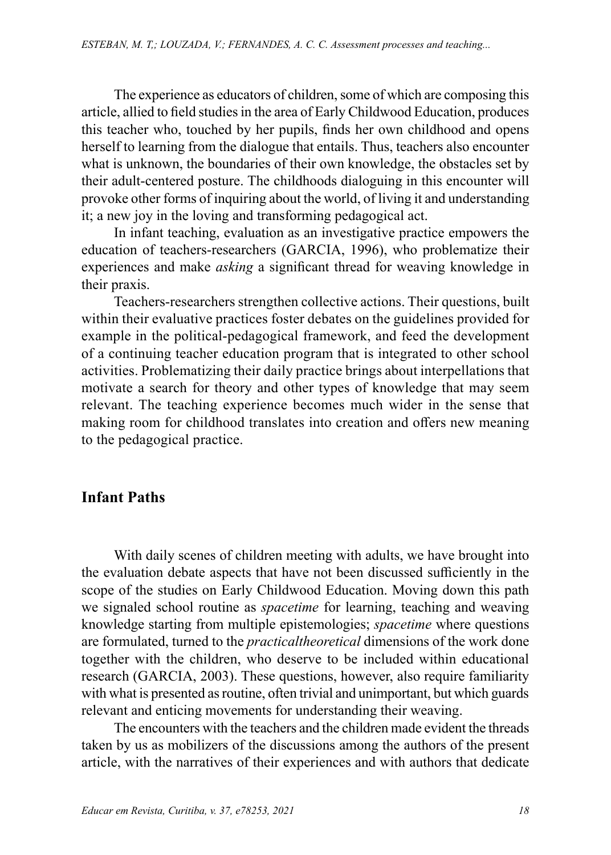The experience as educators of children, some of which are composing this article, allied to field studies in the area of Early Childwood Education, produces this teacher who, touched by her pupils, finds her own childhood and opens herself to learning from the dialogue that entails. Thus, teachers also encounter what is unknown, the boundaries of their own knowledge, the obstacles set by their adult-centered posture. The childhoods dialoguing in this encounter will provoke other forms of inquiring about the world, of living it and understanding it; a new joy in the loving and transforming pedagogical act.

In infant teaching, evaluation as an investigative practice empowers the education of teachers-researchers (GARCIA, 1996), who problematize their experiences and make *asking* a significant thread for weaving knowledge in their praxis.

Teachers-researchers strengthen collective actions. Their questions, built within their evaluative practices foster debates on the guidelines provided for example in the political-pedagogical framework, and feed the development of a continuing teacher education program that is integrated to other school activities. Problematizing their daily practice brings about interpellations that motivate a search for theory and other types of knowledge that may seem relevant. The teaching experience becomes much wider in the sense that making room for childhood translates into creation and offers new meaning to the pedagogical practice.

## **Infant Paths**

With daily scenes of children meeting with adults, we have brought into the evaluation debate aspects that have not been discussed sufficiently in the scope of the studies on Early Childwood Education. Moving down this path we signaled school routine as *spacetime* for learning, teaching and weaving knowledge starting from multiple epistemologies; *spacetime* where questions are formulated, turned to the *practicaltheoretical* dimensions of the work done together with the children, who deserve to be included within educational research (GARCIA, 2003). These questions, however, also require familiarity with what is presented as routine, often trivial and unimportant, but which guards relevant and enticing movements for understanding their weaving.

The encounters with the teachers and the children made evident the threads taken by us as mobilizers of the discussions among the authors of the present article, with the narratives of their experiences and with authors that dedicate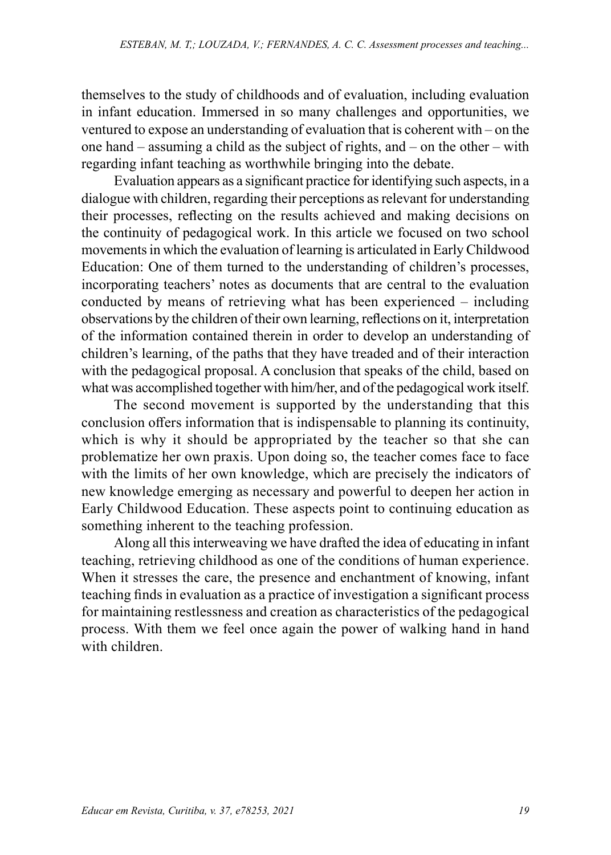themselves to the study of childhoods and of evaluation, including evaluation in infant education. Immersed in so many challenges and opportunities, we ventured to expose an understanding of evaluation that is coherent with – on the one hand – assuming a child as the subject of rights, and – on the other – with regarding infant teaching as worthwhile bringing into the debate.

Evaluation appears as a significant practice for identifying such aspects, in a dialogue with children, regarding their perceptions as relevant for understanding their processes, reflecting on the results achieved and making decisions on the continuity of pedagogical work. In this article we focused on two school movements in which the evaluation of learning is articulated in Early Childwood Education: One of them turned to the understanding of children's processes, incorporating teachers' notes as documents that are central to the evaluation conducted by means of retrieving what has been experienced – including observations by the children of their own learning, reflections on it, interpretation of the information contained therein in order to develop an understanding of children's learning, of the paths that they have treaded and of their interaction with the pedagogical proposal. A conclusion that speaks of the child, based on what was accomplished together with him/her, and of the pedagogical work itself.

The second movement is supported by the understanding that this conclusion offers information that is indispensable to planning its continuity, which is why it should be appropriated by the teacher so that she can problematize her own praxis. Upon doing so, the teacher comes face to face with the limits of her own knowledge, which are precisely the indicators of new knowledge emerging as necessary and powerful to deepen her action in Early Childwood Education. These aspects point to continuing education as something inherent to the teaching profession.

Along all this interweaving we have drafted the idea of educating in infant teaching, retrieving childhood as one of the conditions of human experience. When it stresses the care, the presence and enchantment of knowing, infant teaching finds in evaluation as a practice of investigation a significant process for maintaining restlessness and creation as characteristics of the pedagogical process. With them we feel once again the power of walking hand in hand with children.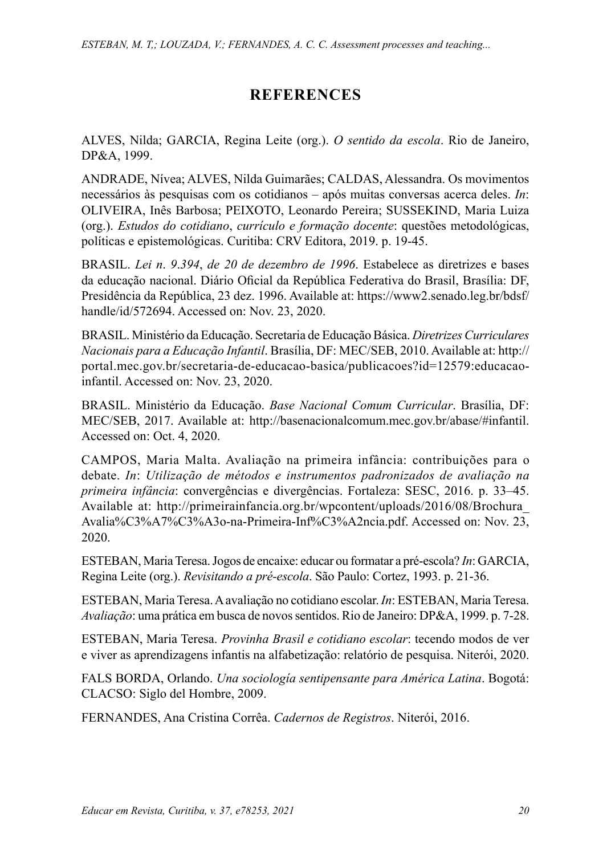## **REFERENCES**

ALVES, Nilda; GARCIA, Regina Leite (org.). *O sentido da escola*. Rio de Janeiro, DP&A, 1999.

ANDRADE, Nívea; ALVES, Nilda Guimarães; CALDAS, Alessandra. Os movimentos necessários às pesquisas com os cotidianos – após muitas conversas acerca deles. *In*: OLIVEIRA, Inês Barbosa; PEIXOTO, Leonardo Pereira; SUSSEKIND, Maria Luiza (org.). *Estudos do cotidiano*, *currículo e formação docente*: questões metodológicas, políticas e epistemológicas. Curitiba: CRV Editora, 2019. p. 19-45.

BRASIL. *Lei n*. *9*.*394*, *de 20 de dezembro de 1996*. Estabelece as diretrizes e bases da educação nacional. Diário Oficial da República Federativa do Brasil, Brasília: DF, Presidência da República, 23 dez. 1996. Available at: [https://www2.senado.leg.br/bdsf/](https://www2.senado.leg.br/bdsf/handle/id/572694) [handle/id/572694.](https://www2.senado.leg.br/bdsf/handle/id/572694) Accessed on: Nov. 23, 2020.

BRASIL. Ministério da Educação. Secretaria de Educação Básica. *Diretrizes Curriculares Nacionais para a Educação Infantil*. Brasília, DF: MEC/SEB, 2010. Available at: [http://](http://portal.mec.gov.br/secretaria-de-educacao-basica/publicacoes?id=12579:educacao-infantil) [portal.mec.gov.br/secretaria-de-educacao-basica/publicacoes?id=12579:educacao](http://portal.mec.gov.br/secretaria-de-educacao-basica/publicacoes?id=12579:educacao-infantil)[infantil.](http://portal.mec.gov.br/secretaria-de-educacao-basica/publicacoes?id=12579:educacao-infantil) Accessed on: Nov. 23, 2020.

BRASIL. Ministério da Educação. *Base Nacional Comum Curricular*. Brasília, DF: MEC/SEB, 2017. Available at: <http://basenacionalcomum.mec.gov.br/abase/#infantil>. Accessed on: Oct. 4, 2020.

CAMPOS, Maria Malta. Avaliação na primeira infância: contribuições para o debate. *In*: *Utilização de métodos e instrumentos padronizados de avaliação na primeira infância*: convergências e divergências. Fortaleza: SESC, 2016. p. 33–45. Available at: [http://primeirainfancia.org.br/wpcontent/uploads/2016/08/Brochura\\_](http://primeirainfancia.org.br/wpcontent/uploads/2016/08/Brochura_Avalia%C3%A7%C3%A3o-na-Primeira-Inf%C3%A2ncia.pdf) [Avalia%C3%A7%C3%A3o-na-Primeira-Inf%C3%A2ncia.pdf](http://primeirainfancia.org.br/wpcontent/uploads/2016/08/Brochura_Avalia%C3%A7%C3%A3o-na-Primeira-Inf%C3%A2ncia.pdf). Accessed on: Nov. 23, 2020.

ESTEBAN, Maria Teresa. Jogos de encaixe: educar ou formatar a pré-escola? *In*: GARCIA, Regina Leite (org.). *Revisitando a pré-escola*. São Paulo: Cortez, 1993. p. 21-36.

ESTEBAN, Maria Teresa. A avaliação no cotidiano escolar. *In*: ESTEBAN, Maria Teresa. *Avaliação*: uma prática em busca de novos sentidos. Rio de Janeiro: DP&A, 1999. p. 7-28.

ESTEBAN, Maria Teresa. *Provinha Brasil e cotidiano escolar*: tecendo modos de ver e viver as aprendizagens infantis na alfabetização: relatório de pesquisa. Niterói, 2020.

FALS BORDA, Orlando. *Una sociología sentipensante para América Latina*. Bogotá: CLACSO: Siglo del Hombre, 2009.

FERNANDES, Ana Cristina Corrêa. *Cadernos de Registros*. Niterói, 2016.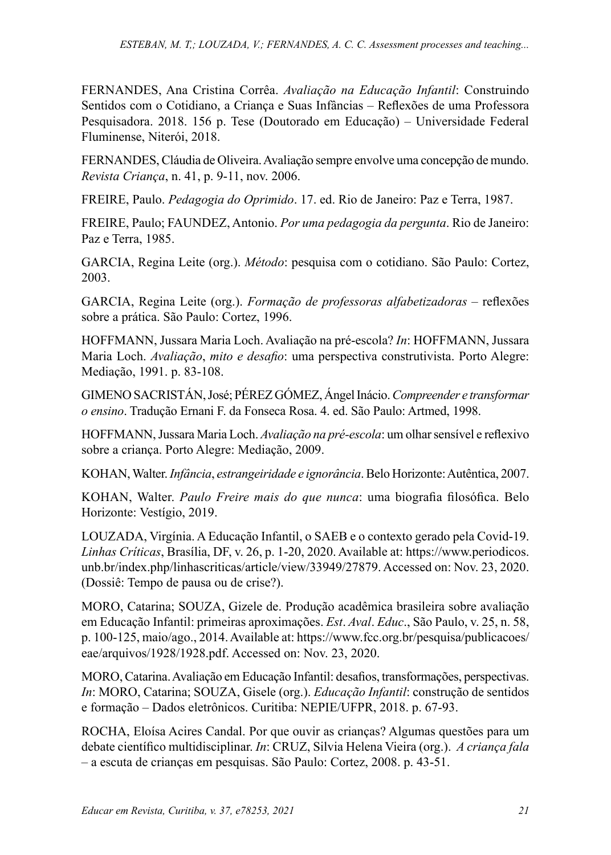FERNANDES, Ana Cristina Corrêa. *Avaliação na Educação Infantil*: Construindo Sentidos com o Cotidiano, a Criança e Suas Infâncias – Reflexões de uma Professora Pesquisadora. 2018. 156 p. Tese (Doutorado em Educação) – Universidade Federal Fluminense, Niterói, 2018.

FERNANDES, Cláudia de Oliveira. Avaliação sempre envolve uma concepção de mundo. *Revista Criança*, n. 41, p. 9-11, nov. 2006.

FREIRE, Paulo. *Pedagogia do Oprimido*. 17. ed. Rio de Janeiro: Paz e Terra, 1987.

FREIRE, Paulo; FAUNDEZ, Antonio. *Por uma pedagogia da pergunta*. Rio de Janeiro: Paz e Terra, 1985.

GARCIA, Regina Leite (org.). *Método*: pesquisa com o cotidiano. São Paulo: Cortez, 2003.

GARCIA, Regina Leite (org.). *Formação de professoras alfabetizadoras* – reflexões sobre a prática. São Paulo: Cortez, 1996.

HOFFMANN, Jussara Maria Loch. Avaliação na pré-escola? *In*: HOFFMANN, Jussara Maria Loch. *Avaliação*, *mito e desafio*: uma perspectiva construtivista. Porto Alegre: Mediação, 1991. p. 83-108.

GIMENO SACRISTÁN, José; PÉREZ GÓMEZ, Ángel Inácio. *Compreender e transformar o ensino*. Tradução Ernani F. da Fonseca Rosa. 4. ed. São Paulo: Artmed, 1998.

HOFFMANN, Jussara Maria Loch. *Avaliação na pré-escola*: um olhar sensível e reflexivo sobre a criança. Porto Alegre: Mediação, 2009.

KOHAN, Walter. *Infância*, *estrangeiridade e ignorância*. Belo Horizonte: Autêntica, 2007.

KOHAN, Walter. *Paulo Freire mais do que nunca*: uma biografia filosófica. Belo Horizonte: Vestígio, 2019.

LOUZADA, Virgínia. A Educação Infantil, o SAEB e o contexto gerado pela Covid-19. *Linhas Críticas*, Brasília, DF, v. 26, p. 1-20, 2020. Available at: [https://www.periodicos.](https://www.periodicos.unb.br/index.php/linhascriticas/article/view/33949/27879) [unb.br/index.php/linhascriticas/article/view/33949/27879](https://www.periodicos.unb.br/index.php/linhascriticas/article/view/33949/27879). Accessed on: Nov. 23, 2020. (Dossiê: Tempo de pausa ou de crise?).

MORO, Catarina; SOUZA, Gizele de. Produção acadêmica brasileira sobre avaliação em Educação Infantil: primeiras aproximações. *Est*. *Aval*. *Educ*., São Paulo, v. 25, n. 58, p. 100-125, maio/ago., 2014. Available at: [https://www.fcc.org.br/pesquisa/publicacoes/](https://www.fcc.org.br/pesquisa/publicacoes/eae/arquivos/1928/1928.pdf) [eae/arquivos/1928/1928.pdf](https://www.fcc.org.br/pesquisa/publicacoes/eae/arquivos/1928/1928.pdf). Accessed on: Nov. 23, 2020.

MORO, Catarina. Avaliação em Educação Infantil: desafios, transformações, perspectivas. *In*: MORO, Catarina; SOUZA, Gisele (org.). *Educação Infantil*: construção de sentidos e formação – Dados eletrônicos. Curitiba: NEPIE/UFPR, 2018. p. 67-93.

ROCHA, Eloísa Acires Candal. Por que ouvir as crianças? Algumas questões para um debate científico multidisciplinar. *In*: CRUZ, Silvia Helena Vieira (org.). *A criança fala* – a escuta de crianças em pesquisas. São Paulo: Cortez, 2008. p. 43-51.